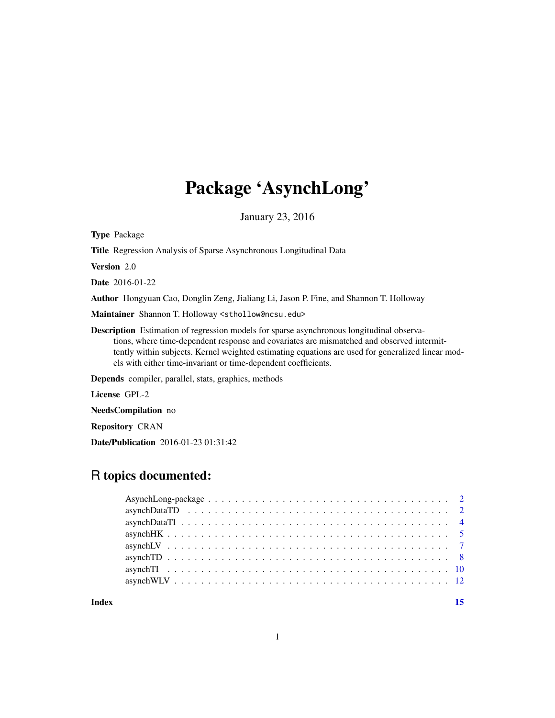## Package 'AsynchLong'

January 23, 2016

Type Package

Title Regression Analysis of Sparse Asynchronous Longitudinal Data

Version 2.0

Date 2016-01-22

Author Hongyuan Cao, Donglin Zeng, Jialiang Li, Jason P. Fine, and Shannon T. Holloway

Maintainer Shannon T. Holloway <sthollow@ncsu.edu>

Description Estimation of regression models for sparse asynchronous longitudinal observations, where time-dependent response and covariates are mismatched and observed intermittently within subjects. Kernel weighted estimating equations are used for generalized linear models with either time-invariant or time-dependent coefficients.

Depends compiler, parallel, stats, graphics, methods

License GPL-2

NeedsCompilation no

Repository CRAN

Date/Publication 2016-01-23 01:31:42

## R topics documented:

| Index |  |
|-------|--|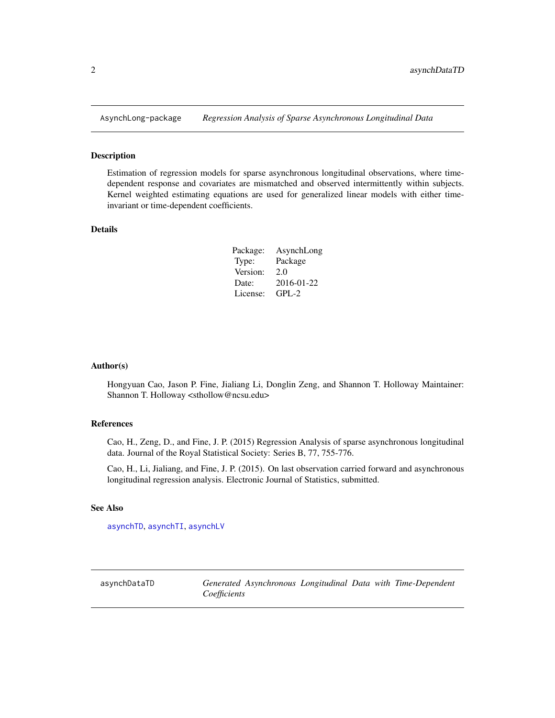<span id="page-1-0"></span>

#### Description

Estimation of regression models for sparse asynchronous longitudinal observations, where timedependent response and covariates are mismatched and observed intermittently within subjects. Kernel weighted estimating equations are used for generalized linear models with either timeinvariant or time-dependent coefficients.

#### Details

| Package: | AsynchLong |
|----------|------------|
| Type:    | Package    |
| Version: | 2.0        |
| Date:    | 2016-01-22 |
| License: | GPL-2      |

#### Author(s)

Hongyuan Cao, Jason P. Fine, Jialiang Li, Donglin Zeng, and Shannon T. Holloway Maintainer: Shannon T. Holloway <sthollow@ncsu.edu>

#### References

Cao, H., Zeng, D., and Fine, J. P. (2015) Regression Analysis of sparse asynchronous longitudinal data. Journal of the Royal Statistical Society: Series B, 77, 755-776.

Cao, H., Li, Jialiang, and Fine, J. P. (2015). On last observation carried forward and asynchronous longitudinal regression analysis. Electronic Journal of Statistics, submitted.

#### See Also

[asynchTD](#page-7-1), [asynchTI](#page-9-1), [asynchLV](#page-6-1)

asynchDataTD *Generated Asynchronous Longitudinal Data with Time-Dependent Coefficients*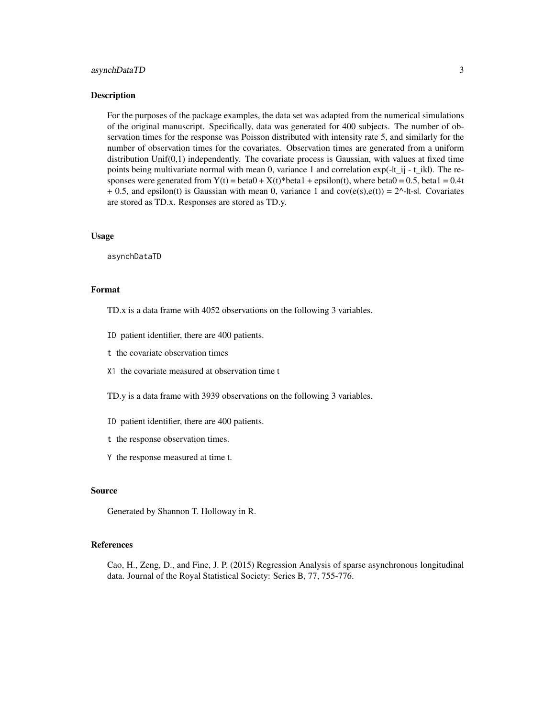#### asynchDataTD 3

#### **Description**

For the purposes of the package examples, the data set was adapted from the numerical simulations of the original manuscript. Specifically, data was generated for 400 subjects. The number of observation times for the response was Poisson distributed with intensity rate 5, and similarly for the number of observation times for the covariates. Observation times are generated from a uniform distribution Unif(0,1) independently. The covariate process is Gaussian, with values at fixed time points being multivariate normal with mean 0, variance 1 and correlation exp(-|t\_ij - t\_ik|). The responses were generated from  $Y(t) = \text{beta}0 + X(t)^* \text{beta}1 + \text{epsilon}0$ , where  $\text{beta}0 = 0.5$ ,  $\text{beta}1 = 0.4t$  $+ 0.5$ , and epsilon(t) is Gaussian with mean 0, variance 1 and cov( $e(s)$ , $e(t)$ ) = 2^-|t-s|. Covariates are stored as TD.x. Responses are stored as TD.y.

#### Usage

asynchDataTD

## Format

- TD.x is a data frame with 4052 observations on the following 3 variables.
- ID patient identifier, there are 400 patients.
- t the covariate observation times
- X1 the covariate measured at observation time t
- TD.y is a data frame with 3939 observations on the following 3 variables.
- ID patient identifier, there are 400 patients.
- t the response observation times.
- Y the response measured at time t.

#### Source

Generated by Shannon T. Holloway in R.

#### References

Cao, H., Zeng, D., and Fine, J. P. (2015) Regression Analysis of sparse asynchronous longitudinal data. Journal of the Royal Statistical Society: Series B, 77, 755-776.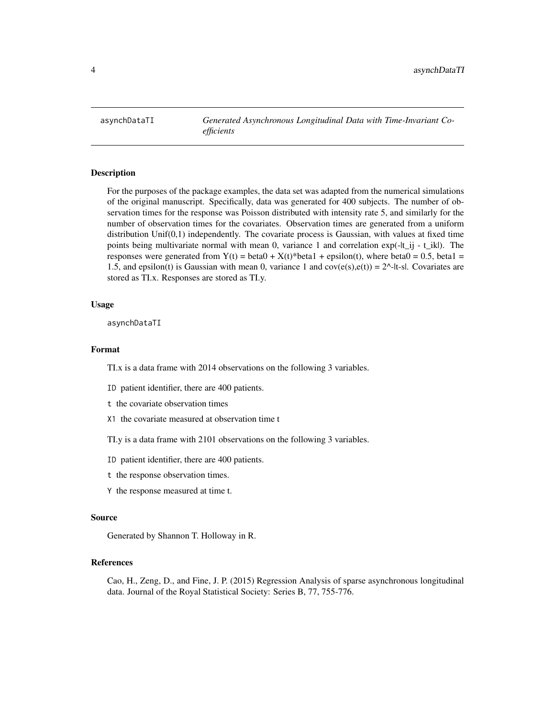<span id="page-3-0"></span>asynchDataTI *Generated Asynchronous Longitudinal Data with Time-Invariant Coefficients*

#### Description

For the purposes of the package examples, the data set was adapted from the numerical simulations of the original manuscript. Specifically, data was generated for 400 subjects. The number of observation times for the response was Poisson distributed with intensity rate 5, and similarly for the number of observation times for the covariates. Observation times are generated from a uniform distribution Unif(0,1) independently. The covariate process is Gaussian, with values at fixed time points being multivariate normal with mean 0, variance 1 and correlation exp(-|t\_ij - t\_ik|). The responses were generated from  $Y(t) = \text{beta0} + X(t)^* \text{beta1} + \text{epsilon0}$  +  $\text{height0}$ , where  $\text{beta0} = 0.5$ ,  $\text{beta1} =$ 1.5, and epsilon(t) is Gaussian with mean 0, variance 1 and  $cov(e(s),e(t)) = 2^{\lambda}$ -It-sl. Covariates are stored as TI.x. Responses are stored as TI.y.

#### Usage

asynchDataTI

#### Format

TI.x is a data frame with 2014 observations on the following 3 variables.

ID patient identifier, there are 400 patients.

t the covariate observation times

X1 the covariate measured at observation time t

TI.y is a data frame with 2101 observations on the following 3 variables.

ID patient identifier, there are 400 patients.

- t the response observation times.
- Y the response measured at time t.

#### Source

Generated by Shannon T. Holloway in R.

## References

Cao, H., Zeng, D., and Fine, J. P. (2015) Regression Analysis of sparse asynchronous longitudinal data. Journal of the Royal Statistical Society: Series B, 77, 755-776.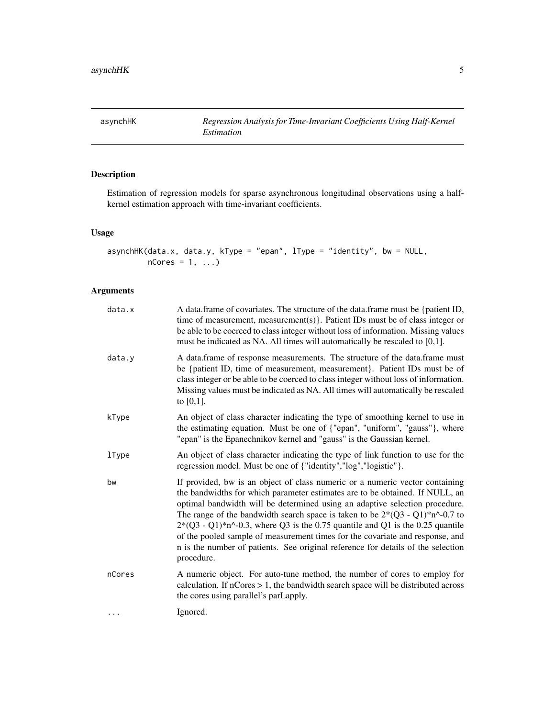<span id="page-4-0"></span>asynchHK *Regression Analysis for Time-Invariant Coefficients Using Half-Kernel Estimation*

## Description

Estimation of regression models for sparse asynchronous longitudinal observations using a halfkernel estimation approach with time-invariant coefficients.

## Usage

```
asynchHK(data.x, data.y, kType = "epan", lType = "identity", bw = NULL,
        nCores = 1, ...
```

| data.x       | A data frame of covariates. The structure of the data frame must be {patient ID,<br>time of measurement, measurement(s). Patient IDs must be of class integer or<br>be able to be coerced to class integer without loss of information. Missing values<br>must be indicated as NA. All times will automatically be rescaled to $[0,1]$ .                                                                                                                                                                                                                                                               |
|--------------|--------------------------------------------------------------------------------------------------------------------------------------------------------------------------------------------------------------------------------------------------------------------------------------------------------------------------------------------------------------------------------------------------------------------------------------------------------------------------------------------------------------------------------------------------------------------------------------------------------|
| data.y       | A data.frame of response measurements. The structure of the data.frame must<br>be {patient ID, time of measurement, measurement}. Patient IDs must be of<br>class integer or be able to be coerced to class integer without loss of information.<br>Missing values must be indicated as NA. All times will automatically be rescaled<br>to $[0,1]$ .                                                                                                                                                                                                                                                   |
| kType        | An object of class character indicating the type of smoothing kernel to use in<br>the estimating equation. Must be one of {"epan", "uniform", "gauss"}, where<br>"epan" is the Epanechnikov kernel and "gauss" is the Gaussian kernel.                                                                                                                                                                                                                                                                                                                                                                 |
| <b>1Type</b> | An object of class character indicating the type of link function to use for the<br>regression model. Must be one of {"identity","log","logistic"}.                                                                                                                                                                                                                                                                                                                                                                                                                                                    |
| bw           | If provided, bw is an object of class numeric or a numeric vector containing<br>the bandwidths for which parameter estimates are to be obtained. If NULL, an<br>optimal bandwidth will be determined using an adaptive selection procedure.<br>The range of the bandwidth search space is taken to be $2*(Q3 - Q1)*n^2-0.7$ to<br>$2*(Q3 - Q1)*n^2-0.3$ , where Q3 is the 0.75 quantile and Q1 is the 0.25 quantile<br>of the pooled sample of measurement times for the covariate and response, and<br>n is the number of patients. See original reference for details of the selection<br>procedure. |
| nCores       | A numeric object. For auto-tune method, the number of cores to employ for<br>calculation. If $nCores > 1$ , the bandwidth search space will be distributed across<br>the cores using parallel's parLapply.                                                                                                                                                                                                                                                                                                                                                                                             |
|              | Ignored.                                                                                                                                                                                                                                                                                                                                                                                                                                                                                                                                                                                               |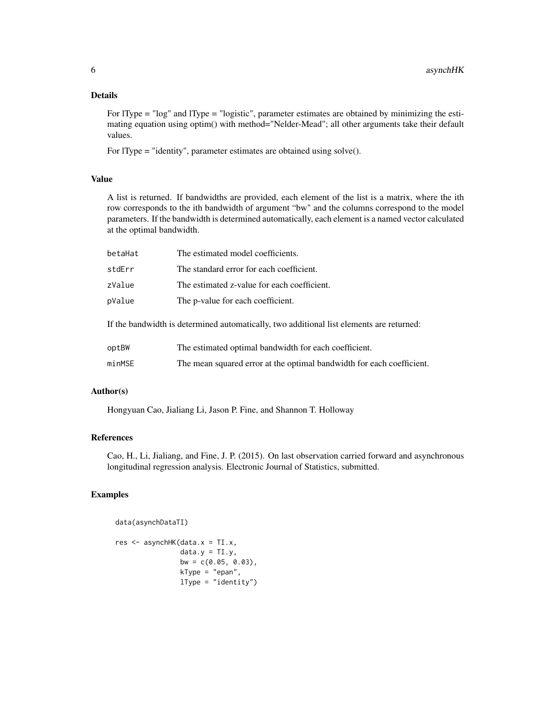#### Details

For lType = "log" and lType = "logistic", parameter estimates are obtained by minimizing the estimating equation using optim() with method="Nelder-Mead"; all other arguments take their default values.

For lType = "identity", parameter estimates are obtained using solve().

#### Value

A list is returned. If bandwidths are provided, each element of the list is a matrix, where the ith row corresponds to the ith bandwidth of argument "bw" and the columns correspond to the model parameters. If the bandwidth is determined automatically, each element is a named vector calculated at the optimal bandwidth.

| betaHat                                                                                  | The estimated model coefficients.                     |  |
|------------------------------------------------------------------------------------------|-------------------------------------------------------|--|
| stdErr                                                                                   | The standard error for each coefficient.              |  |
| zValue                                                                                   | The estimated z-value for each coefficient.           |  |
| pValue                                                                                   | The p-value for each coefficient.                     |  |
| If the bandwidth is determined automatically, two additional list elements are returned: |                                                       |  |
| optBW                                                                                    | The estimated optimal bandwidth for each coefficient. |  |

```
minMSE The mean squared error at the optimal bandwidth for each coefficient.
```
#### Author(s)

Hongyuan Cao, Jialiang Li, Jason P. Fine, and Shannon T. Holloway

#### References

Cao, H., Li, Jialiang, and Fine, J. P. (2015). On last observation carried forward and asynchronous longitudinal regression analysis. Electronic Journal of Statistics, submitted.

#### Examples

```
data(asynchDataTI)
```

```
res <- asynchHK(data.x = TI.x,
                data.y = TI.y,bw = c(0.05, 0.03),
                kType = "epan",lType = "identity")
```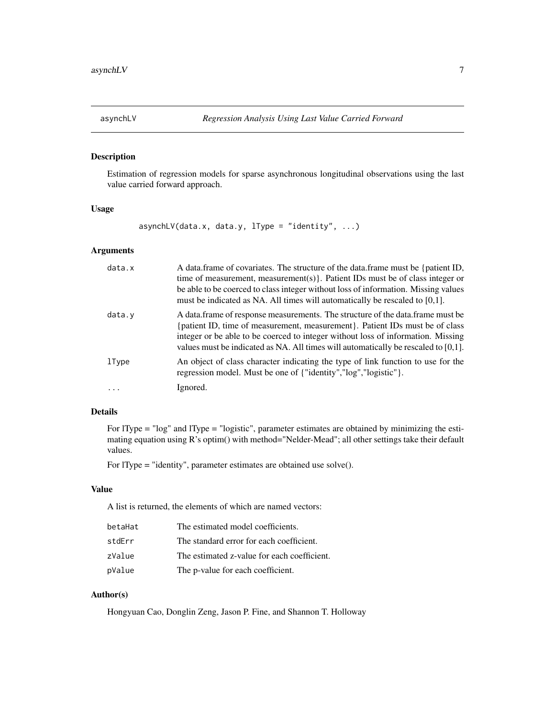<span id="page-6-1"></span><span id="page-6-0"></span>

## Description

Estimation of regression models for sparse asynchronous longitudinal observations using the last value carried forward approach.

## Usage

asynchLV(data.x, data.y,  $lType = "identity", ...)$ 

#### Arguments

| data.x | A data.frame of covariates. The structure of the data.frame must be {patient ID,<br>time of measurement, measurement(s). Patient IDs must be of class integer or<br>be able to be coerced to class integer without loss of information. Missing values<br>must be indicated as NA. All times will automatically be rescaled to [0,1].       |
|--------|---------------------------------------------------------------------------------------------------------------------------------------------------------------------------------------------------------------------------------------------------------------------------------------------------------------------------------------------|
| data.y | A data frame of response measurements. The structure of the data frame must be<br>{patient ID, time of measurement, measurement}. Patient IDs must be of class<br>integer or be able to be coerced to integer without loss of information. Missing<br>values must be indicated as NA. All times will automatically be rescaled to $[0,1]$ . |
| lType  | An object of class character indicating the type of link function to use for the<br>regression model. Must be one of {"identity","log","logistic"}.                                                                                                                                                                                         |
| .      | Ignored.                                                                                                                                                                                                                                                                                                                                    |

#### Details

For lType = "log" and lType = "logistic", parameter estimates are obtained by minimizing the estimating equation using R's optim() with method="Nelder-Mead"; all other settings take their default values.

For lType = "identity", parameter estimates are obtained use solve().

## Value

A list is returned, the elements of which are named vectors:

| betaHat | The estimated model coefficients.           |
|---------|---------------------------------------------|
| stdErr  | The standard error for each coefficient.    |
| zValue  | The estimated z-value for each coefficient. |
| pValue  | The p-value for each coefficient.           |

## Author(s)

Hongyuan Cao, Donglin Zeng, Jason P. Fine, and Shannon T. Holloway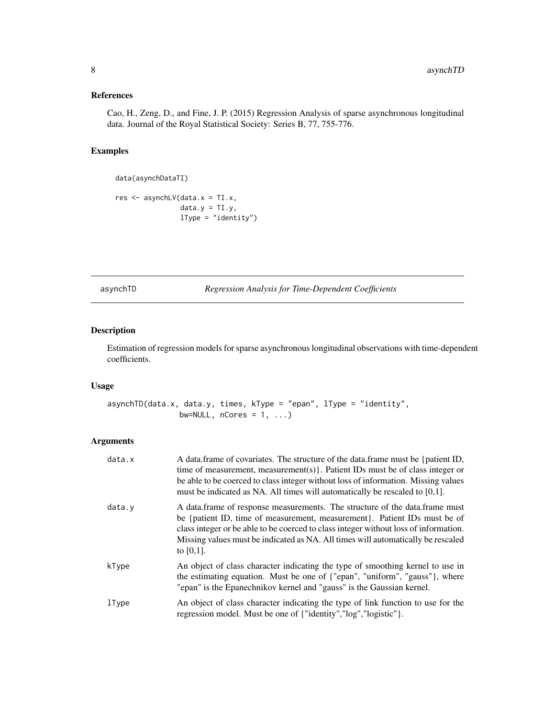## <span id="page-7-0"></span>References

Cao, H., Zeng, D., and Fine, J. P. (2015) Regression Analysis of sparse asynchronous longitudinal data. Journal of the Royal Statistical Society: Series B, 77, 755-776.

#### Examples

```
data(asynchDataTI)
```

```
res <- asynchLV(data.x = TI.x,
               data.y = TI.y,lType = "identity")
```
<span id="page-7-1"></span>asynchTD *Regression Analysis for Time-Dependent Coefficients*

## Description

Estimation of regression models for sparse asynchronous longitudinal observations with time-dependent coefficients.

#### Usage

```
asynchTD(data.x, data.y, times, kType = "epan", lType = "identity",
                bw=NULL, ncores = 1, \dots)
```

| data.x | A data frame of covariates. The structure of the data frame must be {patient ID,<br>time of measurement, measurement(s). Patient IDs must be of class integer or<br>be able to be coerced to class integer without loss of information. Missing values<br>must be indicated as NA. All times will automatically be rescaled to $[0,1]$ .             |
|--------|------------------------------------------------------------------------------------------------------------------------------------------------------------------------------------------------------------------------------------------------------------------------------------------------------------------------------------------------------|
| data.y | A data frame of response measurements. The structure of the data frame must<br>be {patient ID, time of measurement, measurement}. Patient IDs must be of<br>class integer or be able to be coerced to class integer without loss of information.<br>Missing values must be indicated as NA. All times will automatically be rescaled<br>to $[0,1]$ . |
| kType  | An object of class character indicating the type of smoothing kernel to use in<br>the estimating equation. Must be one of {"epan", "uniform", "gauss"}, where<br>"epan" is the Epanechnikov kernel and "gauss" is the Gaussian kernel.                                                                                                               |
| lType  | An object of class character indicating the type of link function to use for the<br>regression model. Must be one of {"identity","log","logistic"}.                                                                                                                                                                                                  |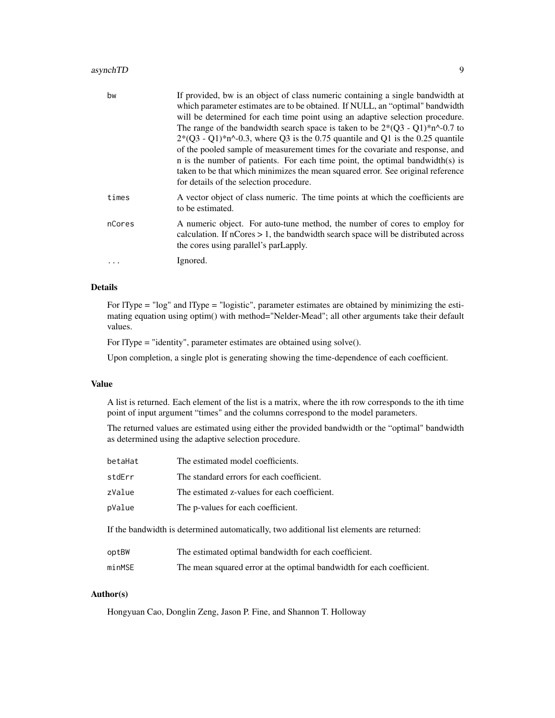## asynchTD 9

| bw     | If provided, bw is an object of class numeric containing a single bandwidth at<br>which parameter estimates are to be obtained. If NULL, an "optimal" bandwidth<br>will be determined for each time point using an adaptive selection procedure.<br>The range of the bandwidth search space is taken to be $2*(03 - 01)*n^{0}$ -0.7 to<br>$2*(Q3 - Q1)*n^0-0.3$ , where Q3 is the 0.75 quantile and Q1 is the 0.25 quantile<br>of the pooled sample of measurement times for the covariate and response, and<br>n is the number of patients. For each time point, the optimal bandwidth(s) is<br>taken to be that which minimizes the mean squared error. See original reference<br>for details of the selection procedure. |
|--------|-----------------------------------------------------------------------------------------------------------------------------------------------------------------------------------------------------------------------------------------------------------------------------------------------------------------------------------------------------------------------------------------------------------------------------------------------------------------------------------------------------------------------------------------------------------------------------------------------------------------------------------------------------------------------------------------------------------------------------|
| times  | A vector object of class numeric. The time points at which the coefficients are<br>to be estimated.                                                                                                                                                                                                                                                                                                                                                                                                                                                                                                                                                                                                                         |
| nCores | A numeric object. For auto-tune method, the number of cores to employ for<br>calculation. If $nCores > 1$ , the bandwidth search space will be distributed across<br>the cores using parallel's parLapply.                                                                                                                                                                                                                                                                                                                                                                                                                                                                                                                  |
| .      | Ignored.                                                                                                                                                                                                                                                                                                                                                                                                                                                                                                                                                                                                                                                                                                                    |

#### Details

For lType = "log" and lType = "logistic", parameter estimates are obtained by minimizing the estimating equation using optim() with method="Nelder-Mead"; all other arguments take their default values.

For lType = "identity", parameter estimates are obtained using solve().

Upon completion, a single plot is generating showing the time-dependence of each coefficient.

## Value

A list is returned. Each element of the list is a matrix, where the ith row corresponds to the ith time point of input argument "times" and the columns correspond to the model parameters.

The returned values are estimated using either the provided bandwidth or the "optimal" bandwidth as determined using the adaptive selection procedure.

| betaHat | The estimated model coefficients.                                                        |
|---------|------------------------------------------------------------------------------------------|
| stdErr  | The standard errors for each coefficient.                                                |
| zValue  | The estimated z-values for each coefficient.                                             |
| pValue  | The p-values for each coefficient.                                                       |
|         | If the bandwidth is determined automatically, two additional list elements are returned: |

| optBW  | The estimated optimal bandwidth for each coefficient.                 |
|--------|-----------------------------------------------------------------------|
| minMSE | The mean squared error at the optimal bandwidth for each coefficient. |

## Author(s)

Hongyuan Cao, Donglin Zeng, Jason P. Fine, and Shannon T. Holloway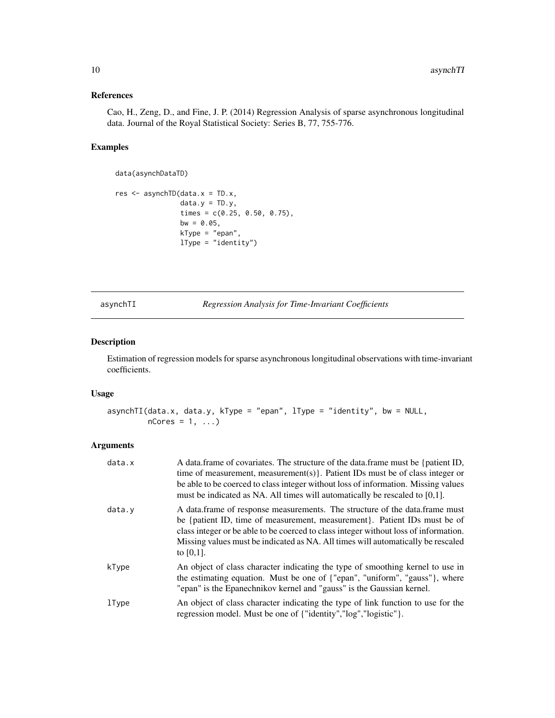## <span id="page-9-0"></span>References

Cao, H., Zeng, D., and Fine, J. P. (2014) Regression Analysis of sparse asynchronous longitudinal data. Journal of the Royal Statistical Society: Series B, 77, 755-776.

## Examples

```
data(asynchDataTD)
```

```
res <- asynchTD(data.x = TD.x,
                data.y = TD.y,times = c(0.25, 0.50, 0.75),
                bw = 0.05,
                kType = "epan",
                lType = "identity")
```
<span id="page-9-1"></span>asynchTI *Regression Analysis for Time-Invariant Coefficients*

#### Description

Estimation of regression models for sparse asynchronous longitudinal observations with time-invariant coefficients.

## Usage

```
asynchTI(data.x, data.y, kType = "epan", lType = "identity", bw = NULL,
        nCores = 1, ...
```

| data.x | A data frame of covariates. The structure of the data frame must be {patient ID,<br>time of measurement, measurement(s). Patient IDs must be of class integer or<br>be able to be coerced to class integer without loss of information. Missing values<br>must be indicated as NA. All times will automatically be rescaled to $[0,1]$ .             |
|--------|------------------------------------------------------------------------------------------------------------------------------------------------------------------------------------------------------------------------------------------------------------------------------------------------------------------------------------------------------|
| data.v | A data frame of response measurements. The structure of the data frame must<br>be {patient ID, time of measurement, measurement}. Patient IDs must be of<br>class integer or be able to be coerced to class integer without loss of information.<br>Missing values must be indicated as NA. All times will automatically be rescaled<br>to $[0,1]$ . |
| kType  | An object of class character indicating the type of smoothing kernel to use in<br>the estimating equation. Must be one of {"epan", "uniform", "gauss"}, where<br>"epan" is the Epanechnikov kernel and "gauss" is the Gaussian kernel.                                                                                                               |
| lType  | An object of class character indicating the type of link function to use for the<br>regression model. Must be one of {"identity","log","logistic"}.                                                                                                                                                                                                  |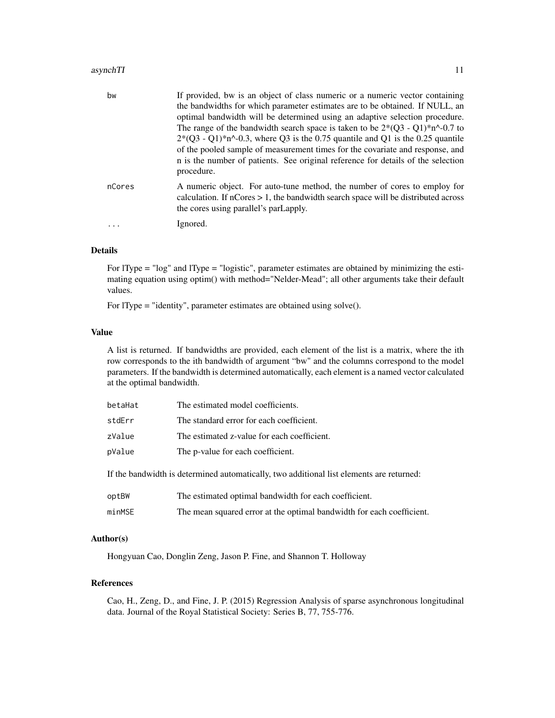#### asynchTI 11

| bw     | If provided, bw is an object of class numeric or a numeric vector containing<br>the bandwidths for which parameter estimates are to be obtained. If NULL, an<br>optimal bandwidth will be determined using an adaptive selection procedure.<br>The range of the bandwidth search space is taken to be $2*(Q3 - Q1)*n^0-0.7$ to<br>$2*(Q3 - Q1)*n^2-0.3$ , where Q3 is the 0.75 quantile and Q1 is the 0.25 quantile<br>of the pooled sample of measurement times for the covariate and response, and<br>n is the number of patients. See original reference for details of the selection<br>procedure. |
|--------|--------------------------------------------------------------------------------------------------------------------------------------------------------------------------------------------------------------------------------------------------------------------------------------------------------------------------------------------------------------------------------------------------------------------------------------------------------------------------------------------------------------------------------------------------------------------------------------------------------|
| nCores | A numeric object. For auto-tune method, the number of cores to employ for<br>calculation. If $nCores > 1$ , the bandwidth search space will be distributed across<br>the cores using parallel's parLapply.                                                                                                                                                                                                                                                                                                                                                                                             |
|        | Ignored.                                                                                                                                                                                                                                                                                                                                                                                                                                                                                                                                                                                               |

## Details

For lType = "log" and lType = "logistic", parameter estimates are obtained by minimizing the estimating equation using optim() with method="Nelder-Mead"; all other arguments take their default values.

For lType = "identity", parameter estimates are obtained using solve().

#### Value

A list is returned. If bandwidths are provided, each element of the list is a matrix, where the ith row corresponds to the ith bandwidth of argument "bw" and the columns correspond to the model parameters. If the bandwidth is determined automatically, each element is a named vector calculated at the optimal bandwidth.

| betaHat                                                                                  | The estimated model coefficients.           |  |
|------------------------------------------------------------------------------------------|---------------------------------------------|--|
| stdErr                                                                                   | The standard error for each coefficient.    |  |
| zValue                                                                                   | The estimated z-value for each coefficient. |  |
| pValue                                                                                   | The p-value for each coefficient.           |  |
| If the bandwidth is determined automatically, two additional list elements are returned: |                                             |  |

| optBW  | The estimated optimal bandwidth for each coefficient.                 |
|--------|-----------------------------------------------------------------------|
| minMSE | The mean squared error at the optimal bandwidth for each coefficient. |

#### Author(s)

Hongyuan Cao, Donglin Zeng, Jason P. Fine, and Shannon T. Holloway

## References

Cao, H., Zeng, D., and Fine, J. P. (2015) Regression Analysis of sparse asynchronous longitudinal data. Journal of the Royal Statistical Society: Series B, 77, 755-776.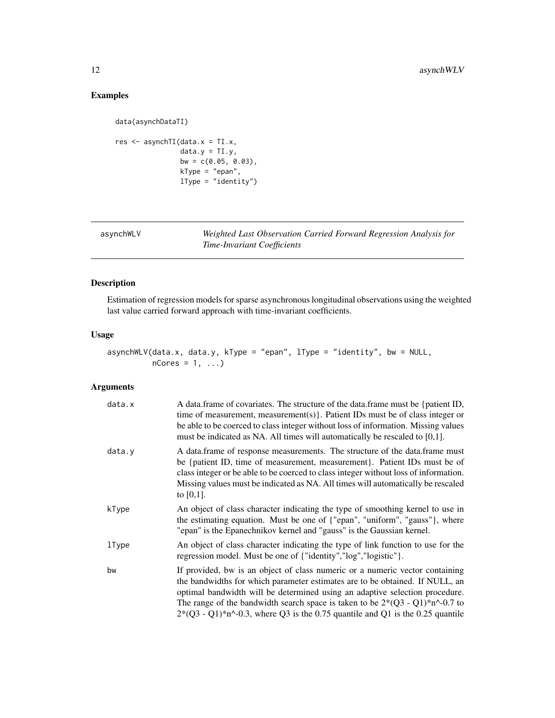## <span id="page-11-0"></span>Examples

```
data(asynchDataTI)
res <- asynchTI(data.x = TI.x,
               data.y = TI.y,bw = c(0.05, 0.03),
               kType = "epan",
               lType = "identity")
```
Weighted Last Observation Carried Forward Regression Analysis for *Time-Invariant Coefficients*

## Description

Estimation of regression models for sparse asynchronous longitudinal observations using the weighted last value carried forward approach with time-invariant coefficients.

## Usage

```
asynchWLV(data.x, data.y, kType = "epan", lType = "identity", bw = NULL,
         nCores = 1, ...
```

| data.x       | A data.frame of covariates. The structure of the data.frame must be {patient ID,<br>time of measurement, measurement(s) $\}$ . Patient IDs must be of class integer or<br>be able to be coerced to class integer without loss of information. Missing values<br>must be indicated as NA. All times will automatically be rescaled to $[0,1]$ .                                                                      |
|--------------|---------------------------------------------------------------------------------------------------------------------------------------------------------------------------------------------------------------------------------------------------------------------------------------------------------------------------------------------------------------------------------------------------------------------|
| data.y       | A data frame of response measurements. The structure of the data frame must<br>be {patient ID, time of measurement, measurement}. Patient IDs must be of<br>class integer or be able to be coerced to class integer without loss of information.<br>Missing values must be indicated as NA. All times will automatically be rescaled<br>to $[0,1]$ .                                                                |
| kType        | An object of class character indicating the type of smoothing kernel to use in<br>the estimating equation. Must be one of {"epan", "uniform", "gauss"}, where<br>"epan" is the Epanechnikov kernel and "gauss" is the Gaussian kernel.                                                                                                                                                                              |
| <b>lType</b> | An object of class character indicating the type of link function to use for the<br>regression model. Must be one of {"identity","log","logistic"}.                                                                                                                                                                                                                                                                 |
| bw           | If provided, bw is an object of class numeric or a numeric vector containing<br>the bandwidths for which parameter estimates are to be obtained. If NULL, an<br>optimal bandwidth will be determined using an adaptive selection procedure.<br>The range of the bandwidth search space is taken to be $2*(Q3 - Q1)*n^0-0.7$ to<br>$2*(Q3 - Q1)*n^0-0.3$ , where Q3 is the 0.75 quantile and Q1 is the 0.25 quantile |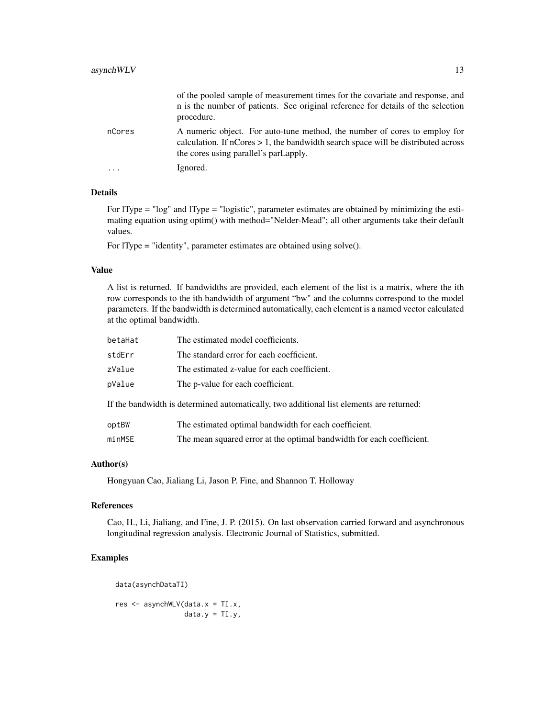|        | of the pooled sample of measurement times for the covariate and response, and<br>n is the number of patients. See original reference for details of the selection<br>procedure.                                   |
|--------|-------------------------------------------------------------------------------------------------------------------------------------------------------------------------------------------------------------------|
| nCores | A numeric object. For auto-tune method, the number of cores to employ for<br>calculation. If $n\text{Cores} > 1$ , the bandwidth search space will be distributed across<br>the cores using parallel's parLapply. |
| .      | Ignored.                                                                                                                                                                                                          |

## Details

For lType = "log" and lType = "logistic", parameter estimates are obtained by minimizing the estimating equation using optim() with method="Nelder-Mead"; all other arguments take their default values.

For lType = "identity", parameter estimates are obtained using solve().

#### Value

A list is returned. If bandwidths are provided, each element of the list is a matrix, where the ith row corresponds to the ith bandwidth of argument "bw" and the columns correspond to the model parameters. If the bandwidth is determined automatically, each element is a named vector calculated at the optimal bandwidth.

| betaHat | The estimated model coefficients.                                                        |
|---------|------------------------------------------------------------------------------------------|
| stdErr  | The standard error for each coefficient.                                                 |
| zValue  | The estimated z-value for each coefficient.                                              |
| pValue  | The p-value for each coefficient.                                                        |
|         | If the bandwidth is determined automatically, two additional list elements are returned: |
| optBW   | The estimated optimal bandwidth for each coefficient.                                    |

## minMSE The mean squared error at the optimal bandwidth for each coefficient.

#### Author(s)

Hongyuan Cao, Jialiang Li, Jason P. Fine, and Shannon T. Holloway

## References

Cao, H., Li, Jialiang, and Fine, J. P. (2015). On last observation carried forward and asynchronous longitudinal regression analysis. Electronic Journal of Statistics, submitted.

## Examples

data(asynchDataTI)

res <- asynchWLV(data.x = TI.x,  $data.y = TI.y,$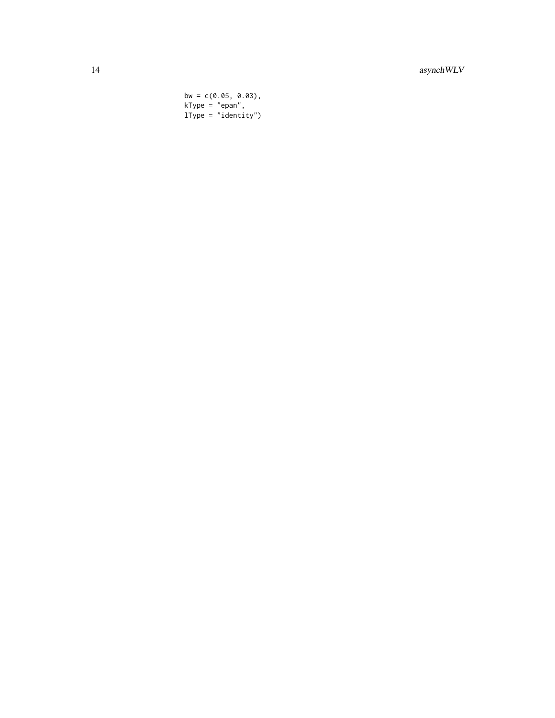## 14 asynchWLV

bw =  $c(0.05, 0.03)$ , kType = "epan", lType = "identity")